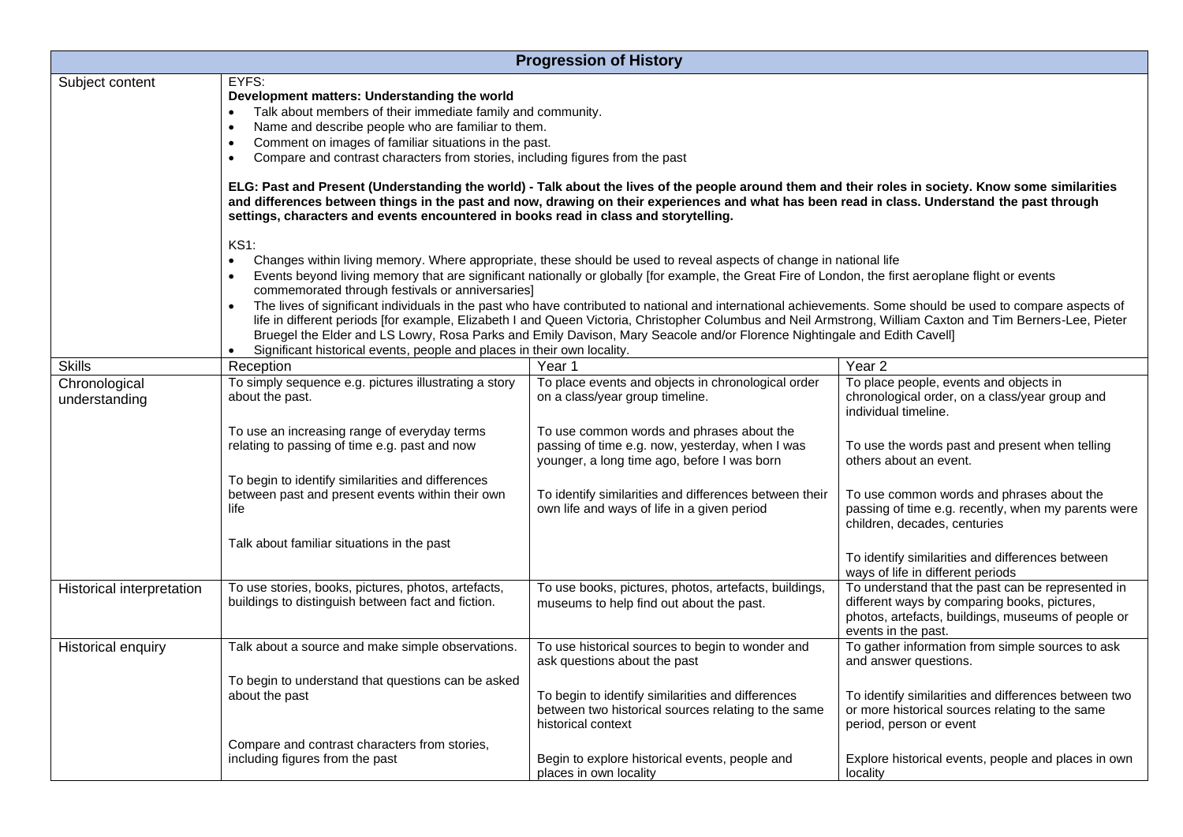| <b>Progression of History</b>  |                                                                                                                                                                                                                                                                                                                                                                                                                                                                                                                                                                                                                                                                                                                                                                                                                                                                                                                                                                                                                                                                                                                                                                                                                                                                                                                                                                                                                                                                                                                                                                                                                                                                             |                                                                                                                                             |                                                                                                                                                                                |  |  |
|--------------------------------|-----------------------------------------------------------------------------------------------------------------------------------------------------------------------------------------------------------------------------------------------------------------------------------------------------------------------------------------------------------------------------------------------------------------------------------------------------------------------------------------------------------------------------------------------------------------------------------------------------------------------------------------------------------------------------------------------------------------------------------------------------------------------------------------------------------------------------------------------------------------------------------------------------------------------------------------------------------------------------------------------------------------------------------------------------------------------------------------------------------------------------------------------------------------------------------------------------------------------------------------------------------------------------------------------------------------------------------------------------------------------------------------------------------------------------------------------------------------------------------------------------------------------------------------------------------------------------------------------------------------------------------------------------------------------------|---------------------------------------------------------------------------------------------------------------------------------------------|--------------------------------------------------------------------------------------------------------------------------------------------------------------------------------|--|--|
| Subject content                | EYFS:<br>Development matters: Understanding the world<br>Talk about members of their immediate family and community.<br>$\bullet$<br>Name and describe people who are familiar to them.<br>$\bullet$<br>Comment on images of familiar situations in the past.<br>$\bullet$<br>Compare and contrast characters from stories, including figures from the past<br>$\bullet$<br>ELG: Past and Present (Understanding the world) - Talk about the lives of the people around them and their roles in society. Know some similarities<br>and differences between things in the past and now, drawing on their experiences and what has been read in class. Understand the past through<br>settings, characters and events encountered in books read in class and storytelling.<br><b>KS1:</b><br>Changes within living memory. Where appropriate, these should be used to reveal aspects of change in national life<br>$\bullet$<br>Events beyond living memory that are significant nationally or globally [for example, the Great Fire of London, the first aeroplane flight or events<br>commemorated through festivals or anniversaries]<br>The lives of significant individuals in the past who have contributed to national and international achievements. Some should be used to compare aspects of<br>life in different periods [for example, Elizabeth I and Queen Victoria, Christopher Columbus and Neil Armstrong, William Caxton and Tim Berners-Lee, Pieter<br>Bruegel the Elder and LS Lowry, Rosa Parks and Emily Davison, Mary Seacole and/or Florence Nightingale and Edith Cavell]<br>Significant historical events, people and places in their own locality. |                                                                                                                                             |                                                                                                                                                                                |  |  |
|                                |                                                                                                                                                                                                                                                                                                                                                                                                                                                                                                                                                                                                                                                                                                                                                                                                                                                                                                                                                                                                                                                                                                                                                                                                                                                                                                                                                                                                                                                                                                                                                                                                                                                                             |                                                                                                                                             |                                                                                                                                                                                |  |  |
| <b>Skills</b>                  | Reception                                                                                                                                                                                                                                                                                                                                                                                                                                                                                                                                                                                                                                                                                                                                                                                                                                                                                                                                                                                                                                                                                                                                                                                                                                                                                                                                                                                                                                                                                                                                                                                                                                                                   | Year 1                                                                                                                                      | Year <sub>2</sub>                                                                                                                                                              |  |  |
| Chronological<br>understanding | To simply sequence e.g. pictures illustrating a story<br>about the past.                                                                                                                                                                                                                                                                                                                                                                                                                                                                                                                                                                                                                                                                                                                                                                                                                                                                                                                                                                                                                                                                                                                                                                                                                                                                                                                                                                                                                                                                                                                                                                                                    | To place events and objects in chronological order<br>on a class/year group timeline.                                                       | To place people, events and objects in<br>chronological order, on a class/year group and<br>individual timeline.                                                               |  |  |
|                                | To use an increasing range of everyday terms<br>relating to passing of time e.g. past and now                                                                                                                                                                                                                                                                                                                                                                                                                                                                                                                                                                                                                                                                                                                                                                                                                                                                                                                                                                                                                                                                                                                                                                                                                                                                                                                                                                                                                                                                                                                                                                               | To use common words and phrases about the<br>passing of time e.g. now, yesterday, when I was<br>younger, a long time ago, before I was born | To use the words past and present when telling<br>others about an event.                                                                                                       |  |  |
|                                | To begin to identify similarities and differences<br>between past and present events within their own<br>life                                                                                                                                                                                                                                                                                                                                                                                                                                                                                                                                                                                                                                                                                                                                                                                                                                                                                                                                                                                                                                                                                                                                                                                                                                                                                                                                                                                                                                                                                                                                                               | To identify similarities and differences between their<br>own life and ways of life in a given period                                       | To use common words and phrases about the<br>passing of time e.g. recently, when my parents were<br>children, decades, centuries                                               |  |  |
|                                | Talk about familiar situations in the past                                                                                                                                                                                                                                                                                                                                                                                                                                                                                                                                                                                                                                                                                                                                                                                                                                                                                                                                                                                                                                                                                                                                                                                                                                                                                                                                                                                                                                                                                                                                                                                                                                  |                                                                                                                                             | To identify similarities and differences between<br>ways of life in different periods                                                                                          |  |  |
| Historical interpretation      | To use stories, books, pictures, photos, artefacts,<br>buildings to distinguish between fact and fiction.                                                                                                                                                                                                                                                                                                                                                                                                                                                                                                                                                                                                                                                                                                                                                                                                                                                                                                                                                                                                                                                                                                                                                                                                                                                                                                                                                                                                                                                                                                                                                                   | To use books, pictures, photos, artefacts, buildings,<br>museums to help find out about the past.                                           | To understand that the past can be represented in<br>different ways by comparing books, pictures,<br>photos, artefacts, buildings, museums of people or<br>events in the past. |  |  |
| Historical enquiry             | Talk about a source and make simple observations.                                                                                                                                                                                                                                                                                                                                                                                                                                                                                                                                                                                                                                                                                                                                                                                                                                                                                                                                                                                                                                                                                                                                                                                                                                                                                                                                                                                                                                                                                                                                                                                                                           | To use historical sources to begin to wonder and<br>ask questions about the past                                                            | To gather information from simple sources to ask<br>and answer questions.                                                                                                      |  |  |
|                                | To begin to understand that questions can be asked<br>about the past                                                                                                                                                                                                                                                                                                                                                                                                                                                                                                                                                                                                                                                                                                                                                                                                                                                                                                                                                                                                                                                                                                                                                                                                                                                                                                                                                                                                                                                                                                                                                                                                        | To begin to identify similarities and differences<br>between two historical sources relating to the same<br>historical context              | To identify similarities and differences between two<br>or more historical sources relating to the same<br>period, person or event                                             |  |  |
|                                | Compare and contrast characters from stories,<br>including figures from the past                                                                                                                                                                                                                                                                                                                                                                                                                                                                                                                                                                                                                                                                                                                                                                                                                                                                                                                                                                                                                                                                                                                                                                                                                                                                                                                                                                                                                                                                                                                                                                                            | Begin to explore historical events, people and<br>places in own locality                                                                    | Explore historical events, people and places in own<br>locality                                                                                                                |  |  |